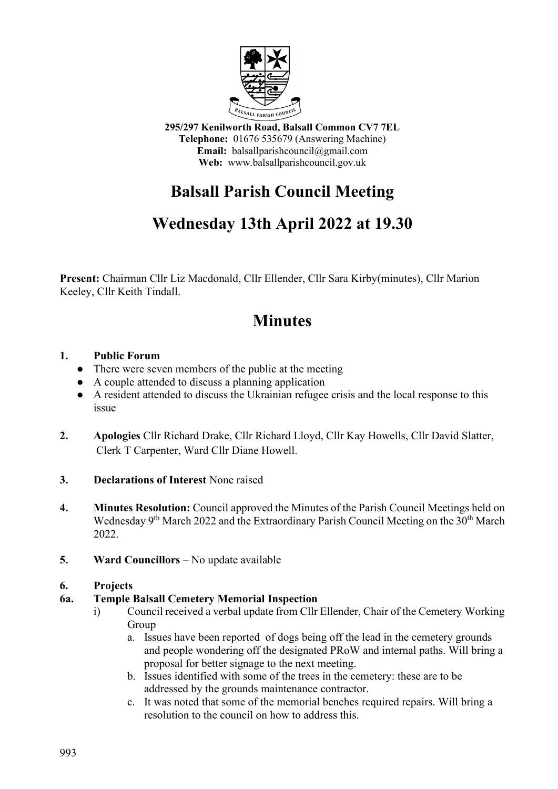

**295/297 Kenilworth Road, Balsall Common CV7 7EL Telephone:** 01676 535679 (Answering Machine) **Email:** balsallparishcouncil@gmail.com **Web:** www.balsallparishcouncil.gov.uk

# **Balsall Parish Council Meeting**

## **Wednesday 13th April 2022 at 19.30**

**Present:** Chairman Cllr Liz Macdonald, Cllr Ellender, Cllr Sara Kirby(minutes), Cllr Marion Keeley, Cllr Keith Tindall.

## **Minutes**

## **1. Public Forum**

- There were seven members of the public at the meeting
- A couple attended to discuss a planning application
- A resident attended to discuss the Ukrainian refugee crisis and the local response to this issue
- **2. Apologies** Cllr Richard Drake, Cllr Richard Lloyd, Cllr Kay Howells, Cllr David Slatter, Clerk T Carpenter, Ward Cllr Diane Howell.
- **3. Declarations of Interest** None raised
- **4. Minutes Resolution:** Council approved the Minutes of the Parish Council Meetings held on Wednesday 9<sup>th</sup> March 2022 and the Extraordinary Parish Council Meeting on the 30<sup>th</sup> March 2022.
- **5. Ward Councillors** No update available

#### **6. Projects**

## **6a. Temple Balsall Cemetery Memorial Inspection**

- i) Council received a verbal update from Cllr Ellender, Chair of the Cemetery Working Group
	- a. Issues have been reported of dogs being off the lead in the cemetery grounds and people wondering off the designated PRoW and internal paths. Will bring a proposal for better signage to the next meeting.
	- b. Issues identified with some of the trees in the cemetery: these are to be addressed by the grounds maintenance contractor.
	- c. It was noted that some of the memorial benches required repairs. Will bring a resolution to the council on how to address this.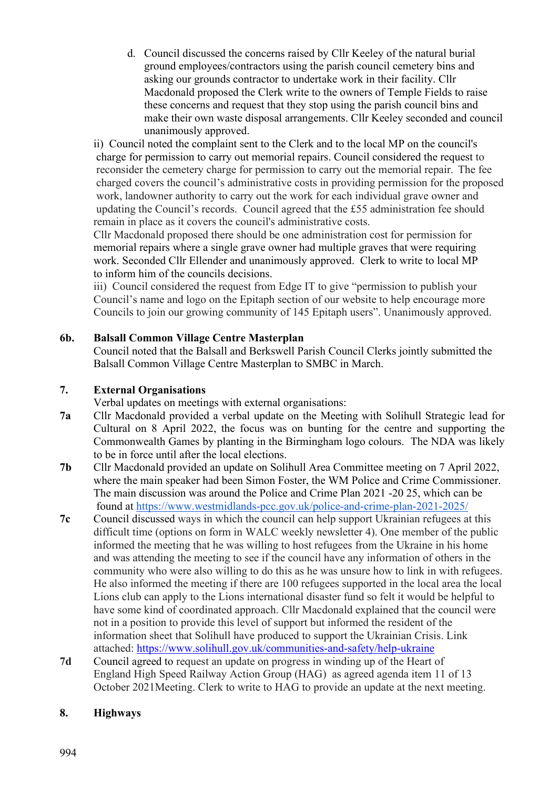d. Council discussed the concerns raised by Cllr Keeley of the natural burial ground employees/contractors using the parish council cemetery bins and asking our grounds contractor to undertake work in their facility. Cllr Macdonald proposed the Clerk write to the owners of Temple Fields to raise these concerns and request that they stop using the parish council bins and make their own waste disposal arrangements. Cllr Keeley seconded and council unanimously approved.

ii) Council noted the complaint sent to the Clerk and to the local MP on the council's charge for permission to carry out memorial repairs. Council considered the request to reconsider the cemetery charge for permission to carry out the memorial repair. The fee charged covers the council's administrative costs in providing permission for the proposed work, landowner authority to carry out the work for each individual grave owner and updating the Council's records. Council agreed that the £55 administration fee should remain in place as it covers the council's administrative costs.

Cllr Macdonald proposed there should be one administration cost for permission for memorial repairs where a single grave owner had multiple graves that were requiring work. Seconded Cllr Ellender and unanimously approved. Clerk to write to local MP to inform him of the councils decisions.

iii) Council considered the request from Edge IT to give "permission to publish your Council's name and logo on the Epitaph section of our website to help encourage more Councils to join our growing community of 145 Epitaph users". Unanimously approved.

## **6b. Balsall Common Village Centre Masterplan**

 Council noted that the Balsall and Berkswell Parish Council Clerks jointly submitted the Balsall Common Village Centre Masterplan to SMBC in March.

### **7. External Organisations**

Verbal updates on meetings with external organisations:

- **7a** Cllr Macdonald provided a verbal update on the Meeting with Solihull Strategic lead for Cultural on 8 April 2022, the focus was on bunting for the centre and supporting the Commonwealth Games by planting in the Birmingham logo colours. The NDA was likely to be in force until after the local elections.
- **7b** Cllr Macdonald provided an update on Solihull Area Committee meeting on 7 April 2022, where the main speaker had been Simon Foster, the WM Police and Crime Commissioner. The main discussion was around the Police and Crime Plan 2021 -20 25, which can be found at<https://www.westmidlands-pcc.gov.uk/police-and-crime-plan-2021-2025/>
- **7c** Council discussed ways in which the council can help support Ukrainian refugees at this difficult time (options on form in WALC weekly newsletter 4). One member of the public informed the meeting that he was willing to host refugees from the Ukraine in his home and was attending the meeting to see if the council have any information of others in the community who were also willing to do this as he was unsure how to link in with refugees. He also informed the meeting if there are 100 refugees supported in the local area the local Lions club can apply to the Lions international disaster fund so felt it would be helpful to have some kind of coordinated approach. Cllr Macdonald explained that the council were not in a position to provide this level of support but informed the resident of the information sheet that Solihull have produced to support the Ukrainian Crisis. Link attached: <https://www.solihull.gov.uk/communities-and-safety/help-ukraine>
- **7d** Council agreed to request an update on progress in winding up of the Heart of England High Speed Railway Action Group (HAG) as agreed agenda item 11 of 13 October 2021Meeting. Clerk to write to HAG to provide an update at the next meeting.

## **8. Highways**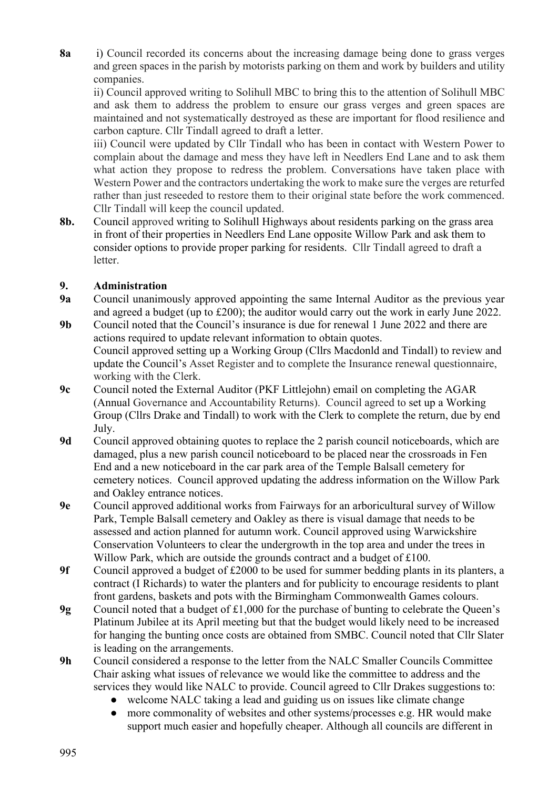**8a** i) Council recorded its concerns about the increasing damage being done to grass verges and green spaces in the parish by motorists parking on them and work by builders and utility companies.

ii) Council approved writing to Solihull MBC to bring this to the attention of Solihull MBC and ask them to address the problem to ensure our grass verges and green spaces are maintained and not systematically destroyed as these are important for flood resilience and carbon capture. Cllr Tindall agreed to draft a letter.

iii) Council were updated by Cllr Tindall who has been in contact with Western Power to complain about the damage and mess they have left in Needlers End Lane and to ask them what action they propose to redress the problem. Conversations have taken place with Western Power and the contractors undertaking the work to make sure the verges are returfed rather than just reseeded to restore them to their original state before the work commenced. Cllr Tindall will keep the council updated.

**8b.** Council approved writing to Solihull Highways about residents parking on the grass area in front of their properties in Needlers End Lane opposite Willow Park and ask them to consider options to provide proper parking for residents. Cllr Tindall agreed to draft a letter.

## **9. Administration**

- **9a** Council unanimously approved appointing the same Internal Auditor as the previous year and agreed a budget (up to £200); the auditor would carry out the work in early June 2022.
- **9b** Council noted that the Council's insurance is due for renewal 1 June 2022 and there are actions required to update relevant information to obtain quotes. Council approved setting up a Working Group (Cllrs Macdonld and Tindall) to review and update the Council's Asset Register and to complete the Insurance renewal questionnaire, working with the Clerk.
- **9c** Council noted the External Auditor (PKF Littlejohn) email on completing the AGAR (Annual Governance and Accountability Returns). Council agreed to set up a Working Group (Cllrs Drake and Tindall) to work with the Clerk to complete the return, due by end July.
- **9d** Council approved obtaining quotes to replace the 2 parish council noticeboards, which are damaged, plus a new parish council noticeboard to be placed near the crossroads in Fen End and a new noticeboard in the car park area of the Temple Balsall cemetery for cemetery notices. Council approved updating the address information on the Willow Park and Oakley entrance notices.
- **9e** Council approved additional works from Fairways for an arboricultural survey of Willow Park, Temple Balsall cemetery and Oakley as there is visual damage that needs to be assessed and action planned for autumn work. Council approved using Warwickshire Conservation Volunteers to clear the undergrowth in the top area and under the trees in Willow Park, which are outside the grounds contract and a budget of £100.
- **9f** Council approved a budget of £2000 to be used for summer bedding plants in its planters, a contract (I Richards) to water the planters and for publicity to encourage residents to plant front gardens, baskets and pots with the Birmingham Commonwealth Games colours.
- **9g** Council noted that a budget of £1,000 for the purchase of bunting to celebrate the Queen's Platinum Jubilee at its April meeting but that the budget would likely need to be increased for hanging the bunting once costs are obtained from SMBC. Council noted that Cllr Slater is leading on the arrangements.
- **9h** Council considered a response to the letter from the NALC Smaller Councils Committee Chair asking what issues of relevance we would like the committee to address and the services they would like NALC to provide. Council agreed to Cllr Drakes suggestions to:
	- welcome NALC taking a lead and guiding us on issues like climate change
	- more commonality of websites and other systems/processes e.g. HR would make support much easier and hopefully cheaper. Although all councils are different in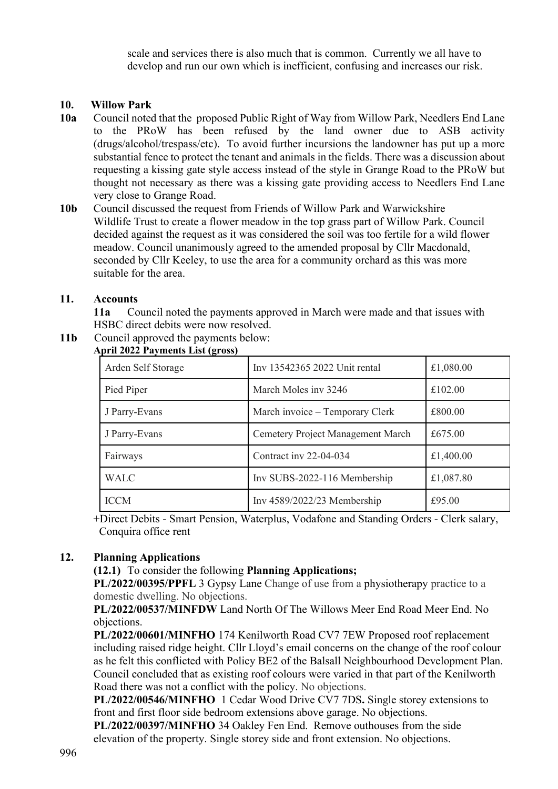scale and services there is also much that is common. Currently we all have to develop and run our own which is inefficient, confusing and increases our risk.

### **10. Willow Park**

- **10a** Council noted that theproposed Public Right of Way from Willow Park, Needlers End Lane to the PRoW has been refused by the land owner due to ASB activity (drugs/alcohol/trespass/etc). To avoid further incursions the landowner has put up a more substantial fence to protect the tenant and animals in the fields. There was a discussion about requesting a kissing gate style access instead of the style in Grange Road to the PRoW but thought not necessary as there was a kissing gate providing access to Needlers End Lane very close to Grange Road.
- **10b** Council discussed the request from Friends of Willow Park and Warwickshire Wildlife Trust to create a flower meadow in the top grass part of Willow Park. Council decided against the request as it was considered the soil was too fertile for a wild flower meadow. Council unanimously agreed to the amended proposal by Cllr Macdonald, seconded by Cllr Keeley, to use the area for a community orchard as this was more suitable for the area.

#### **11. Accounts**

**11a** Council noted the payments approved in March were made and that issues with HSBC direct debits were now resolved.

**11b** Council approved the payments below:

| $P_{111} = 0 = 1$ a jintents $P_{11}$ ( $P_{12}$ oss) |                                   |           |
|-------------------------------------------------------|-----------------------------------|-----------|
| Arden Self Storage                                    | Inv 13542365 2022 Unit rental     | £1,080.00 |
| Pied Piper                                            | March Moles inv 3246              | £102.00   |
| J Parry-Evans                                         | March invoice – Temporary Clerk   | £800.00   |
| J Parry-Evans                                         | Cemetery Project Management March | £675.00   |
| Fairways                                              | Contract inv 22-04-034            | £1,400.00 |
| <b>WALC</b>                                           | Inv SUBS-2022-116 Membership      | £1,087.80 |
| <b>ICCM</b>                                           | Inv $4589/2022/23$ Membership     | £95.00    |

## **April 2022 Payments List (gross)**

 +Direct Debits - Smart Pension, Waterplus, Vodafone and Standing Orders - Clerk salary, Conquira office rent

## **12. Planning Applications**

**(12.1)** To consider the following **Planning Applications;**

**PL/2022/00395/PPFL** 3 Gypsy Lane Change of use from a physiotherapy practice to a domestic dwelling. No objections.

**PL/2022/00537/MINFDW** Land North Of The Willows Meer End Road Meer End. No objections.

**PL/2022/00601/MINFHO** 174 Kenilworth Road CV7 7EW Proposed roof replacement including raised ridge height. Cllr Lloyd's email concerns on the change of the roof colour as he felt this conflicted with Policy BE2 of the Balsall Neighbourhood Development Plan. Council concluded that as existing roof colours were varied in that part of the Kenilworth Road there was not a conflict with the policy. No objections.

**PL/2022/00546/MINFHO** 1 Cedar Wood Drive CV7 7DS**.** Single storey extensions to front and first floor side bedroom extensions above garage. No objections.

**PL/2022/00397/MINFHO** 34 Oakley Fen End. Remove outhouses from the side elevation of the property. Single storey side and front extension. No objections.